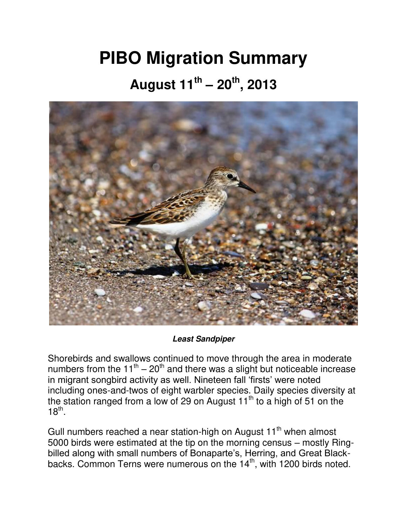## **PIBO Migration Summary**

## **August 11th – 20th, 2013**



## *Least Sandpiper*

Shorebirds and swallows continued to move through the area in moderate numbers from the  $11<sup>th</sup> - 20<sup>th</sup>$  and there was a slight but noticeable increase in migrant songbird activity as well. Nineteen fall 'firsts' were noted including ones-and-twos of eight warbler species. Daily species diversity at the station ranged from a low of 29 on August  $11<sup>th</sup>$  to a high of 51 on the  $18^{\text{th}}$ .

Gull numbers reached a near station-high on August 11<sup>th</sup> when almost 5000 birds were estimated at the tip on the morning census – mostly Ringbilled along with small numbers of Bonaparte's, Herring, and Great Blackbacks. Common Terns were numerous on the  $14<sup>th</sup>$ , with 1200 birds noted.